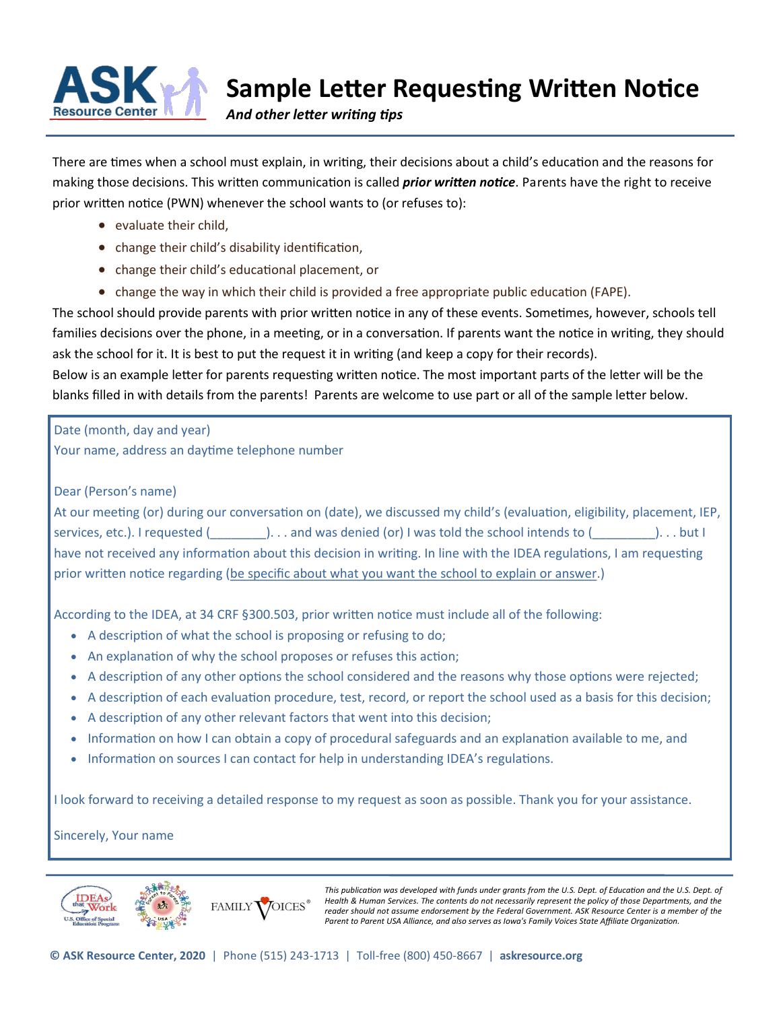

# **Sample Letter Requesting Written Notice**

*And other letter writing tips* 

There are times when a school must explain, in writing, their decisions about a child's education and the reasons for making those decisions. This written communication is called *prior written notice*. Parents have the right to receive prior written notice (PWN) whenever the school wants to (or refuses to):

- evaluate their child,
- change their child's disability identification,
- change their child's educational placement, or
- change the way in which their child is provided a free appropriate public education (FAPE).

The school should provide parents with prior written notice in any of these events. Sometimes, however, schools tell families decisions over the phone, in a meeting, or in a conversation. If parents want the notice in writing, they should ask the school for it. It is best to put the request it in writing (and keep a copy for their records).

Below is an example letter for parents requesting written notice. The most important parts of the letter will be the blanks filled in with details from the parents! Parents are welcome to use part or all of the sample letter below.

Date (month, day and year)

Your name, address an daytime telephone number

## Dear (Person's name)

At our meeting (or) during our conversation on (date), we discussed my child's (evaluation, eligibility, placement, IEP, services, etc.). I requested (\_\_\_\_\_\_\_\_\_). . . and was denied (or) I was told the school intends to (\_\_\_\_\_\_\_\_\_). . . but I have not received any information about this decision in writing. In line with the IDEA regulations, I am requesting prior written notice regarding (be specific about what you want the school to explain or answer.)

According to the IDEA, at 34 CRF §300.503, prior written notice must include all of the following:

- A description of what the school is proposing or refusing to do;
- An explanation of why the school proposes or refuses this action;
- A description of any other options the school considered and the reasons why those options were rejected;
- A description of each evaluation procedure, test, record, or report the school used as a basis for this decision;
- A description of any other relevant factors that went into this decision;
- Information on how I can obtain a copy of procedural safeguards and an explanation available to me, and
- Information on sources I can contact for help in understanding IDEA's regulations.

I look forward to receiving a detailed response to my request as soon as possible. Thank you for your assistance.

Sincerely, Your name



This publication was developed with funds under grants from the U.S. Dept. of Education and the U.S. Dept. of *Health & Human Services. The contents do not necessarily represent the policy of those Departments, and the reader should not assume endorsement by the Federal Government. ASK Resource Center is a member of the Parent to Parent USA Alliance, and also serves as Iowa's Family Voices State Affiliate Organization.*